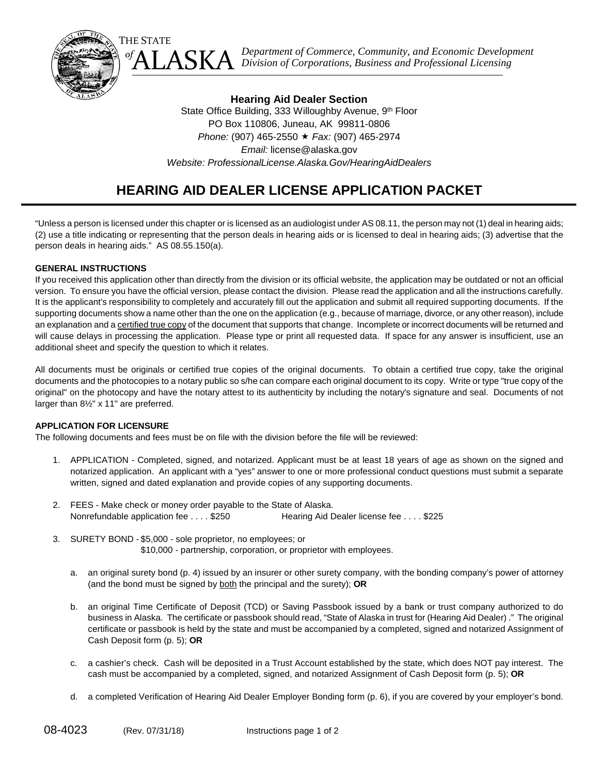

**Hearing Aid Dealer Section** State Office Building, 333 Willoughby Avenue, 9th Floor PO Box 110806, Juneau, AK 99811-0806 *Phone:* (907) 465-2550 *Fax:* (907) 465-2974 *Email:* license@alaska.gov *Website: [ProfessionalLicense.Alaska.Gov/HearingAidDealers](http://professionallicense.alaska.gov/HearingAidDealers)*

 $\overline{a}$ 

## **HEARING AID DEALER LICENSE APPLICATION PACKET**

"Unless a person is licensed under this chapter or is licensed as an audiologist under AS 08.11, the person may not (1) deal in hearing aids; (2) use a title indicating or representing that the person deals in hearing aids or is licensed to deal in hearing aids; (3) advertise that the person deals in hearing aids." AS 08.55.150(a).

#### **GENERAL INSTRUCTIONS**

If you received this application other than directly from the division or its official website, the application may be outdated or not an official version. To ensure you have the official version, please contact the division. Please read the application and all the instructions carefully. It is the applicant's responsibility to completely and accurately fill out the application and submit all required supporting documents. If the supporting documents show a name other than the one on the application (e.g., because of marriage, divorce, or any other reason), include an explanation and a certified true copy of the document that supports that change. Incomplete or incorrect documents will be returned and will cause delays in processing the application. Please type or print all requested data. If space for any answer is insufficient, use an additional sheet and specify the question to which it relates.

All documents must be originals or certified true copies of the original documents. To obtain a certified true copy, take the original documents and the photocopies to a notary public so s/he can compare each original document to its copy. Write or type "true copy of the original" on the photocopy and have the notary attest to its authenticity by including the notary's signature and seal. Documents of not larger than 8½" x 11" are preferred.

#### **APPLICATION FOR LICENSURE**

The following documents and fees must be on file with the division before the file will be reviewed:

- 1. APPLICATION Completed, signed, and notarized. Applicant must be at least 18 years of age as shown on the signed and notarized application. An applicant with a "yes" answer to one or more professional conduct questions must submit a separate written, signed and dated explanation and provide copies of any supporting documents.
- 2. FEES Make check or money order payable to the State of Alaska. Nonrefundable application fee . . . . \$250 Hearing Aid Dealer license fee . . . . \$225
- 3. SURETY BOND \$5,000 sole proprietor, no employees; or \$10,000 - partnership, corporation, or proprietor with employees.
	- a. an original surety bond (p. 4) issued by an insurer or other surety company, with the bonding company's power of attorney (and the bond must be signed by both the principal and the surety); **OR**
	- b. an original Time Certificate of Deposit (TCD) or Saving Passbook issued by a bank or trust company authorized to do business in Alaska. The certificate or passbook should read, "State of Alaska in trust for (Hearing Aid Dealer) ." The original certificate or passbook is held by the state and must be accompanied by a completed, signed and notarized Assignment of Cash Deposit form (p. 5); **OR**
	- c. a cashier's check. Cash will be deposited in a Trust Account established by the state, which does NOT pay interest. The cash must be accompanied by a completed, signed, and notarized Assignment of Cash Deposit form (p. 5); **OR**
	- d. a completed Verification of Hearing Aid Dealer Employer Bonding form (p. 6), if you are covered by your employer's bond.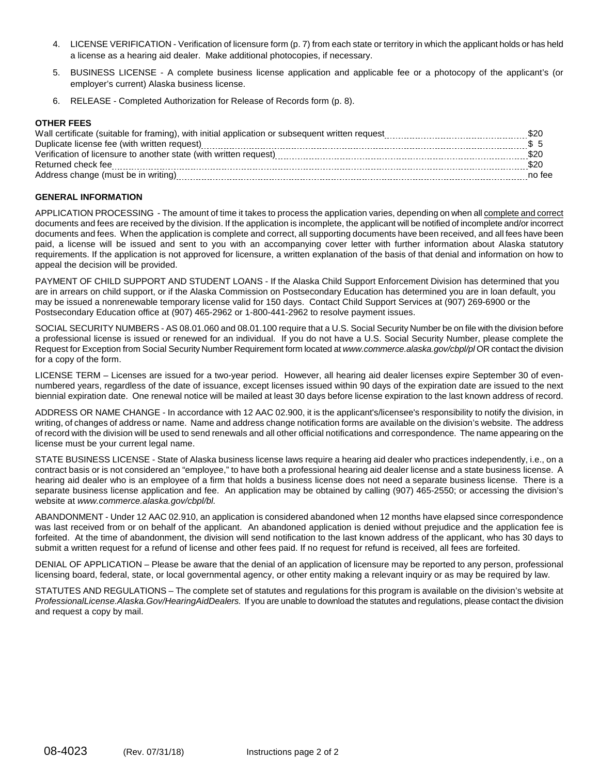- 4. LICENSE VERIFICATION Verification of licensure form (p. 7) from each state or territory in which the applicant holds or has held a license as a hearing aid dealer. Make additional photocopies, if necessary.
- 5. BUSINESS LICENSE A complete business license application and applicable fee or a photocopy of the applicant's (or employer's current) Alaska business license.
- 6. RELEASE Completed Authorization for Release of Records form (p. 8).

#### **OTHER FEES**

|                                                                   | - \$20 |
|-------------------------------------------------------------------|--------|
|                                                                   |        |
| Verification of licensure to another state (with written request) |        |
| Returned check fee                                                |        |
| Address change (must be in writing)                               | no fee |

#### **GENERAL INFORMATION**

APPLICATION PROCESSING - The amount of time it takes to process the application varies, depending on when all complete and correct documents and fees are received by the division. If the application is incomplete, the applicant will be notified of incomplete and/or incorrect documents and fees. When the application is complete and correct, all supporting documents have been received, and all fees have been paid, a license will be issued and sent to you with an accompanying cover letter with further information about Alaska statutory requirements. If the application is not approved for licensure, a written explanation of the basis of that denial and information on how to appeal the decision will be provided.

PAYMENT OF CHILD SUPPORT AND STUDENT LOANS - If the Alaska Child Support Enforcement Division has determined that you are in arrears on child support, or if the Alaska Commission on Postsecondary Education has determined you are in loan default, you may be issued a nonrenewable temporary license valid for 150 days. Contact Child Support Services at (907) 269-6900 or the Postsecondary Education office at (907) 465-2962 or 1-800-441-2962 to resolve payment issues.

SOCIAL SECURITY NUMBERS - AS 08.01.060 and 08.01.100 require that a U.S. Social Security Number be on file with the division before a professional license is issued or renewed for an individual. If you do not have a U.S. Social Security Number, please complete the Request for Exception from Social Security Number Requirement form located at *www.commerce.alaska.gov/cbpl/pl* OR contact the division for a copy of the form.

LICENSE TERM – Licenses are issued for a two-year period. However, all hearing aid dealer licenses expire September 30 of evennumbered years, regardless of the date of issuance, except licenses issued within 90 days of the expiration date are issued to the next biennial expiration date. One renewal notice will be mailed at least 30 days before license expiration to the last known address of record.

ADDRESS OR NAME CHANGE - In accordance with 12 AAC 02.900, it is the applicant's/licensee's responsibility to notify the division, in writing, of changes of address or name. Name and address change notification forms are available on the division's website. The address of record with the division will be used to send renewals and all other official notifications and correspondence. The name appearing on the license must be your current legal name.

STATE BUSINESS LICENSE - State of Alaska business license laws require a hearing aid dealer who practices independently, i.e., on a contract basis or is not considered an "employee," to have both a professional hearing aid dealer license and a state business license. A hearing aid dealer who is an employee of a firm that holds a business license does not need a separate business license. There is a separate business license application and fee. An application may be obtained by calling (907) 465-2550; or accessing the division's website at *www.commerce.alaska.gov/cbpl/bl.*

ABANDONMENT - Under 12 AAC 02.910, an application is considered abandoned when 12 months have elapsed since correspondence was last received from or on behalf of the applicant. An abandoned application is denied without prejudice and the application fee is forfeited. At the time of abandonment, the division will send notification to the last known address of the applicant, who has 30 days to submit a written request for a refund of license and other fees paid. If no request for refund is received, all fees are forfeited.

DENIAL OF APPLICATION – Please be aware that the denial of an application of licensure may be reported to any person, professional licensing board, federal, state, or local governmental agency, or other entity making a relevant inquiry or as may be required by law.

STATUTES AND REGULATIONS – The complete set of statutes and regulations for this program is available on the division's website at *[ProfessionalLicense.Alaska.Gov/HearingAidDealers.](http://professionallicense.alaska.gov/HearingAidDealers)* If you are unable to download the statutes and regulations, please contact the division and request a copy by mail.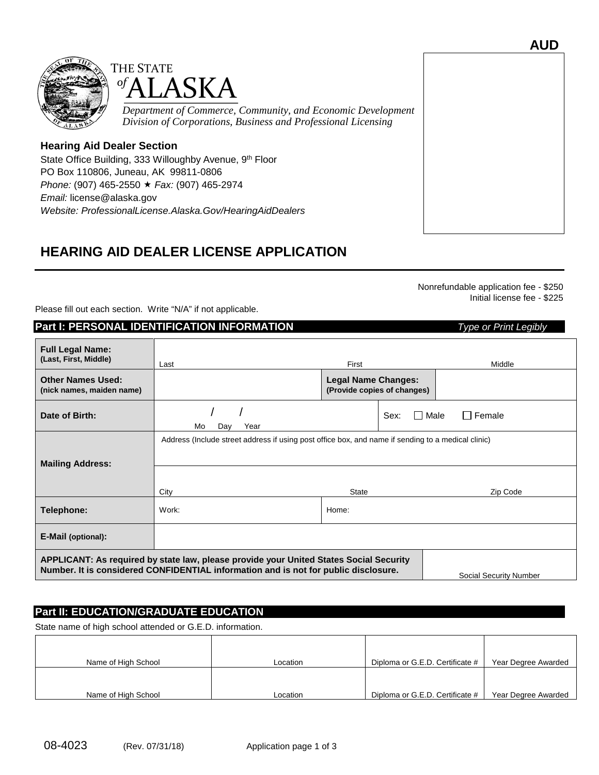



### **Hearing Aid Dealer Section**

State Office Building, 333 Willoughby Avenue, 9<sup>th</sup> Floor PO Box 110806, Juneau, AK 99811-0806 *Phone:* (907) 465-2550 *Fax:* (907) 465-2974 *Email:* license@alaska.gov *Website: [ProfessionalLicense.Alaska.Gov/HearingAidDealers](http://professionallicense.alaska.gov/HearingAidDealers)*

## **HEARING AID DEALER LICENSE APPLICATION**

Nonrefundable application fee - \$250 Initial license fee - \$225

Please fill out each section. Write "N/A" if not applicable.

### **Part I: PERSONAL IDENTIFICATION INFORMATION** *Type or Print Legibly*

| <b>Full Legal Name:</b><br>(Last, First, Middle)      | Last                                                                                                                                                                          | First                                                     |                       | Middle                        |
|-------------------------------------------------------|-------------------------------------------------------------------------------------------------------------------------------------------------------------------------------|-----------------------------------------------------------|-----------------------|-------------------------------|
| <b>Other Names Used:</b><br>(nick names, maiden name) |                                                                                                                                                                               | <b>Legal Name Changes:</b><br>(Provide copies of changes) |                       |                               |
| Date of Birth:                                        | Mo<br>Year<br>Day                                                                                                                                                             |                                                           | <b>I</b> Male<br>Sex: | $\Box$ Female                 |
| <b>Mailing Address:</b>                               | Address (Include street address if using post office box, and name if sending to a medical clinic)                                                                            |                                                           |                       |                               |
|                                                       | City                                                                                                                                                                          | <b>State</b>                                              |                       | Zip Code                      |
| Telephone:                                            | Work:                                                                                                                                                                         | Home:                                                     |                       |                               |
| <b>E-Mail (optional):</b>                             |                                                                                                                                                                               |                                                           |                       |                               |
|                                                       | APPLICANT: As required by state law, please provide your United States Social Security<br>Number. It is considered CONFIDENTIAL information and is not for public disclosure. |                                                           |                       | <b>Social Security Number</b> |

## **Part II: EDUCATION/GRADUATE EDUCATION**

State name of high school attended or G.E.D. information.

| Name of High School | Location | Diploma or G.E.D. Certificate # | Year Degree Awarded |
|---------------------|----------|---------------------------------|---------------------|
|                     |          |                                 |                     |
|                     |          |                                 |                     |
| Name of High School | Location | Diploma or G.E.D. Certificate # | Year Degree Awarded |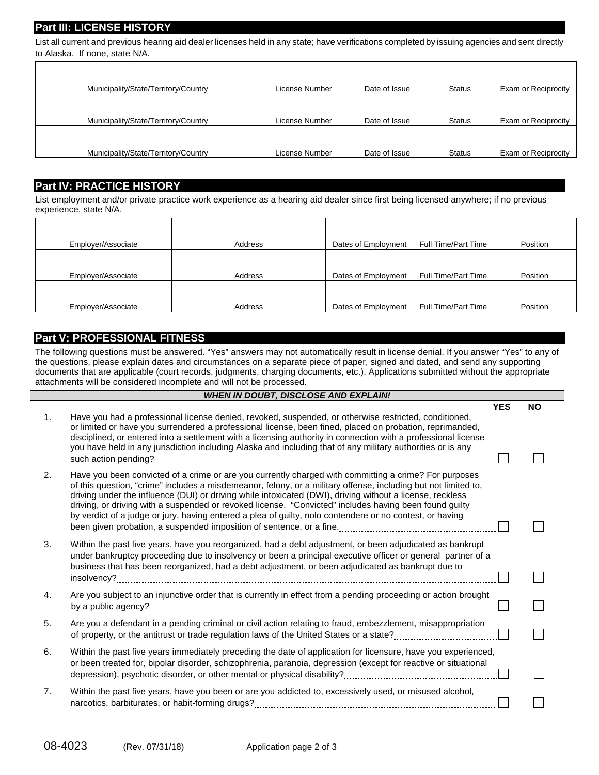## **Part III: LICENSE HISTORY**

List all current and previous hearing aid dealer licenses held in any state; have verifications completed by issuing agencies and sent directly to Alaska. If none, state N/A.

| Municipality/State/Territory/Country | License Number | Date of Issue | <b>Status</b> | Exam or Reciprocity |
|--------------------------------------|----------------|---------------|---------------|---------------------|
|                                      |                |               |               |                     |
| Municipality/State/Territory/Country | License Number | Date of Issue | <b>Status</b> | Exam or Reciprocity |
| Municipality/State/Territory/Country | License Number | Date of Issue | <b>Status</b> | Exam or Reciprocity |

#### **Part IV: PRACTICE HISTORY**

List employment and/or private practice work experience as a hearing aid dealer since first being licensed anywhere; if no previous experience, state N/A.

| Employer/Associate | Address | Dates of Employment | Full Time/Part Time | Position |
|--------------------|---------|---------------------|---------------------|----------|
| Employer/Associate | Address | Dates of Employment | Full Time/Part Time | Position |
| Employer/Associate | Address | Dates of Employment | Full Time/Part Time | Position |

### **Part V: PROFESSIONAL FITNESS**

The following questions must be answered. "Yes" answers may not automatically result in license denial. If you answer "Yes" to any of the questions, please explain dates and circumstances on a separate piece of paper, signed and dated, and send any supporting documents that are applicable (court records, judgments, charging documents, etc.). Applications submitted without the appropriate attachments will be considered incomplete and will not be processed.

|    | <b>WHEN IN DOUBT, DISCLOSE AND EXPLAIN!</b>                                                                                                                                                                                                                                                                                                                                                                                                                                                                                                                |            |           |
|----|------------------------------------------------------------------------------------------------------------------------------------------------------------------------------------------------------------------------------------------------------------------------------------------------------------------------------------------------------------------------------------------------------------------------------------------------------------------------------------------------------------------------------------------------------------|------------|-----------|
|    |                                                                                                                                                                                                                                                                                                                                                                                                                                                                                                                                                            | <b>YES</b> | <b>NO</b> |
| 1. | Have you had a professional license denied, revoked, suspended, or otherwise restricted, conditioned,<br>or limited or have you surrendered a professional license, been fined, placed on probation, reprimanded,<br>disciplined, or entered into a settlement with a licensing authority in connection with a professional license<br>you have held in any jurisdiction including Alaska and including that of any military authorities or is any                                                                                                         |            |           |
| 2. | Have you been convicted of a crime or are you currently charged with committing a crime? For purposes<br>of this question, "crime" includes a misdemeanor, felony, or a military offense, including but not limited to,<br>driving under the influence (DUI) or driving while intoxicated (DWI), driving without a license, reckless<br>driving, or driving with a suspended or revoked license. "Convicted" includes having been found guilty<br>by verdict of a judge or jury, having entered a plea of guilty, nolo contendere or no contest, or having |            |           |
| 3. | Within the past five years, have you reorganized, had a debt adjustment, or been adjudicated as bankrupt<br>under bankruptcy proceeding due to insolvency or been a principal executive officer or general partner of a<br>business that has been reorganized, had a debt adjustment, or been adjudicated as bankrupt due to                                                                                                                                                                                                                               |            |           |
| 4. | Are you subject to an injunctive order that is currently in effect from a pending proceeding or action brought                                                                                                                                                                                                                                                                                                                                                                                                                                             |            |           |
| 5. | Are you a defendant in a pending criminal or civil action relating to fraud, embezzlement, misappropriation                                                                                                                                                                                                                                                                                                                                                                                                                                                |            |           |
| 6. | Within the past five years immediately preceding the date of application for licensure, have you experienced,<br>or been treated for, bipolar disorder, schizophrenia, paranoia, depression (except for reactive or situational                                                                                                                                                                                                                                                                                                                            |            |           |
| 7. | Within the past five years, have you been or are you addicted to, excessively used, or misused alcohol,<br>narcotics, barbiturates, or habit-forming drugs?                                                                                                                                                                                                                                                                                                                                                                                                |            |           |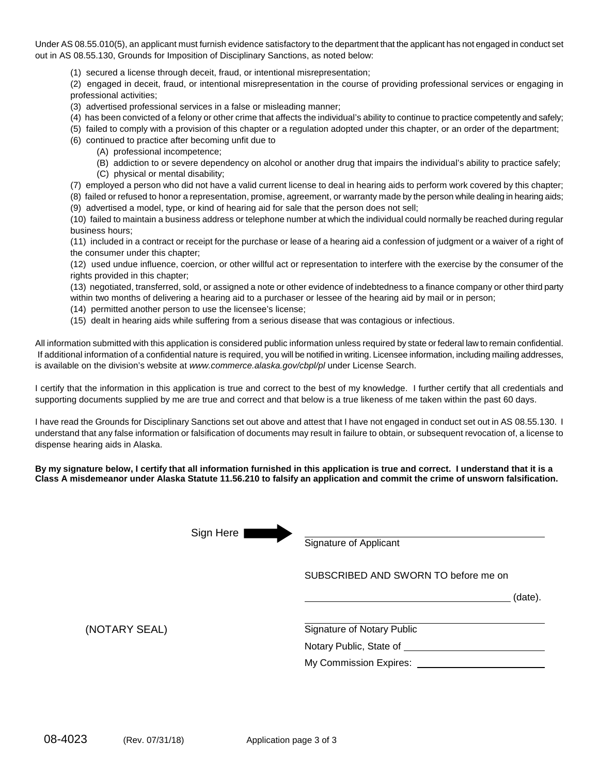Under AS 08.55.010(5), an applicant must furnish evidence satisfactory to the department that the applicant has not engaged in conduct set out in AS 08.55.130, Grounds for Imposition of Disciplinary Sanctions, as noted below:

(1) secured a license through deceit, fraud, or intentional misrepresentation;

(2) engaged in deceit, fraud, or intentional misrepresentation in the course of providing professional services or engaging in professional activities;

- (3) advertised professional services in a false or misleading manner;
- (4) has been convicted of a felony or other crime that affects the individual's ability to continue to practice competently and safely;
- (5) failed to comply with a provision of this chapter or a regulation adopted under this chapter, or an order of the department;
- (6) continued to practice after becoming unfit due to
	- (A) professional incompetence;
	- (B) addiction to or severe dependency on alcohol or another drug that impairs the individual's ability to practice safely;
	- (C) physical or mental disability;
- (7) employed a person who did not have a valid current license to deal in hearing aids to perform work covered by this chapter;
- (8) failed or refused to honor a representation, promise, agreement, or warranty made by the person while dealing in hearing aids;
- (9) advertised a model, type, or kind of hearing aid for sale that the person does not sell;

(10) failed to maintain a business address or telephone number at which the individual could normally be reached during regular business hours;

(11) included in a contract or receipt for the purchase or lease of a hearing aid a confession of judgment or a waiver of a right of the consumer under this chapter;

(12) used undue influence, coercion, or other willful act or representation to interfere with the exercise by the consumer of the rights provided in this chapter;

(13) negotiated, transferred, sold, or assigned a note or other evidence of indebtedness to a finance company or other third party within two months of delivering a hearing aid to a purchaser or lessee of the hearing aid by mail or in person;

- (14) permitted another person to use the licensee's license;
- (15) dealt in hearing aids while suffering from a serious disease that was contagious or infectious.

All information submitted with this application is considered public information unless required by state or federal law to remain confidential. If additional information of a confidential nature is required, you will be notified in writing. Licensee information, including mailing addresses, is available on the division's website at *www.commerce.alaska.gov/cbpl/pl* under License Search.

I certify that the information in this application is true and correct to the best of my knowledge. I further certify that all credentials and supporting documents supplied by me are true and correct and that below is a true likeness of me taken within the past 60 days.

I have read the Grounds for Disciplinary Sanctions set out above and attest that I have not engaged in conduct set out in AS 08.55.130. I understand that any false information or falsification of documents may result in failure to obtain, or subsequent revocation of, a license to dispense hearing aids in Alaska.

#### **By my signature below, I certify that all information furnished in this application is true and correct. I understand that it is a Class A misdemeanor under Alaska Statute 11.56.210 to falsify an application and commit the crime of unsworn falsification.**

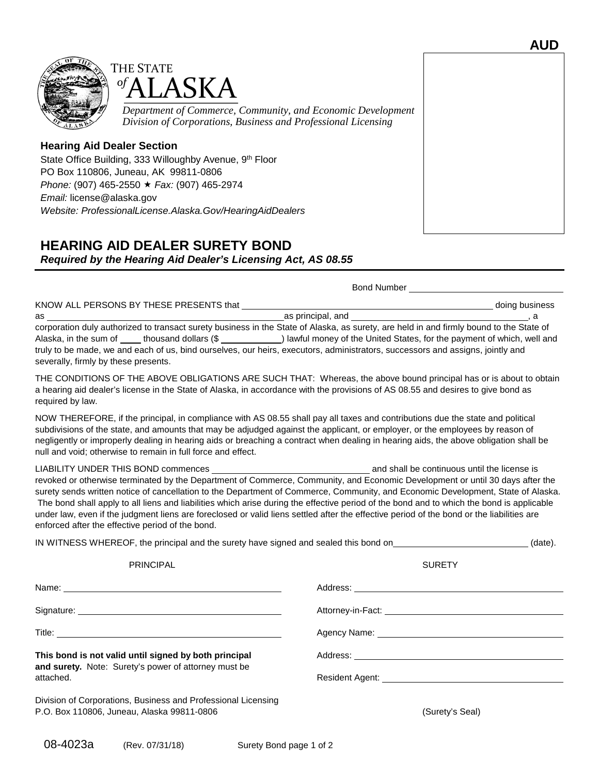



### **Hearing Aid Dealer Section**

State Office Building, 333 Willoughby Avenue, 9<sup>th</sup> Floor PO Box 110806, Juneau, AK 99811-0806 *Phone:* (907) 465-2550 *Fax:* (907) 465-2974 *Email:* license@alaska.gov *Website: [ProfessionalLicense.Alaska.Gov/HearingAidDealers](http://professionallicense.alaska.gov/HearingAidDealers)*

# **HEARING AID DEALER SURETY BOND**

*Required by the Hearing Aid Dealer's Licensing Act, AS 08.55*

|                                                                                                                                                                                                                                                                                                                                                                                                                                                                                                                                                                                                                 | <b>Bond Number Bond 2007</b>                                                                                                                                                                                                        |  |
|-----------------------------------------------------------------------------------------------------------------------------------------------------------------------------------------------------------------------------------------------------------------------------------------------------------------------------------------------------------------------------------------------------------------------------------------------------------------------------------------------------------------------------------------------------------------------------------------------------------------|-------------------------------------------------------------------------------------------------------------------------------------------------------------------------------------------------------------------------------------|--|
| KNOW ALL PERSONS BY THESE PRESENTS that ___________                                                                                                                                                                                                                                                                                                                                                                                                                                                                                                                                                             | <b>Example 2018</b> The Color State State State State State State State State State State State State State State State State State State State State State State State State State State State State State State State State State |  |
| corporation duly authorized to transact surety business in the State of Alaska, as surety, are held in and firmly bound to the State of<br>Alaska, in the sum of _____ thousand dollars (\$ ____________) lawful money of the United States, for the payment of which, well and<br>truly to be made, we and each of us, bind ourselves, our heirs, executors, administrators, successors and assigns, jointly and<br>severally, firmly by these presents.                                                                                                                                                       |                                                                                                                                                                                                                                     |  |
| THE CONDITIONS OF THE ABOVE OBLIGATIONS ARE SUCH THAT: Whereas, the above bound principal has or is about to obtain<br>a hearing aid dealer's license in the State of Alaska, in accordance with the provisions of AS 08.55 and desires to give bond as<br>required by law.                                                                                                                                                                                                                                                                                                                                     |                                                                                                                                                                                                                                     |  |
| NOW THEREFORE, if the principal, in compliance with AS 08.55 shall pay all taxes and contributions due the state and political<br>subdivisions of the state, and amounts that may be adjudged against the applicant, or employer, or the employees by reason of<br>negligently or improperly dealing in hearing aids or breaching a contract when dealing in hearing aids, the above obligation shall be<br>null and void; otherwise to remain in full force and effect.                                                                                                                                        |                                                                                                                                                                                                                                     |  |
| revoked or otherwise terminated by the Department of Commerce, Community, and Economic Development or until 30 days after the<br>surety sends written notice of cancellation to the Department of Commerce, Community, and Economic Development, State of Alaska.<br>The bond shall apply to all liens and liabilities which arise during the effective period of the bond and to which the bond is applicable<br>under law, even if the judgment liens are foreclosed or valid liens settled after the effective period of the bond or the liabilities are<br>enforced after the effective period of the bond. |                                                                                                                                                                                                                                     |  |
| IN WITNESS WHEREOF, the principal and the surety have signed and sealed this bond on______________________(date).                                                                                                                                                                                                                                                                                                                                                                                                                                                                                               |                                                                                                                                                                                                                                     |  |
| <b>PRINCIPAL</b>                                                                                                                                                                                                                                                                                                                                                                                                                                                                                                                                                                                                | <b>SURETY</b>                                                                                                                                                                                                                       |  |
|                                                                                                                                                                                                                                                                                                                                                                                                                                                                                                                                                                                                                 |                                                                                                                                                                                                                                     |  |
|                                                                                                                                                                                                                                                                                                                                                                                                                                                                                                                                                                                                                 |                                                                                                                                                                                                                                     |  |
|                                                                                                                                                                                                                                                                                                                                                                                                                                                                                                                                                                                                                 |                                                                                                                                                                                                                                     |  |
| This bond is not valid until signed by both principal                                                                                                                                                                                                                                                                                                                                                                                                                                                                                                                                                           |                                                                                                                                                                                                                                     |  |
| and surety. Note: Surety's power of attorney must be<br>attached.                                                                                                                                                                                                                                                                                                                                                                                                                                                                                                                                               | Resident Agent: <u>contract and a series of the series of the series of the series of the series of the series of</u>                                                                                                               |  |
| Division of Corporations, Business and Professional Licensing<br>P.O. Box 110806, Juneau, Alaska 99811-0806                                                                                                                                                                                                                                                                                                                                                                                                                                                                                                     | (Surety's Seal)                                                                                                                                                                                                                     |  |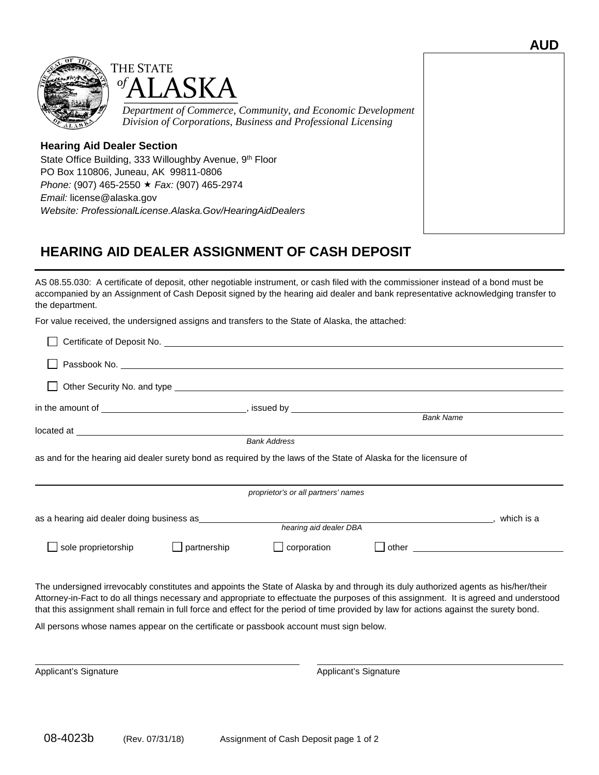



### **Hearing Aid Dealer Section**

State Office Building, 333 Willoughby Avenue, 9<sup>th</sup> Floor PO Box 110806, Juneau, AK 99811-0806 *Phone:* (907) 465-2550 *Fax:* (907) 465-2974 *Email:* license@alaska.gov *Website: [ProfessionalLicense.Alaska.Gov/HearingAidDealers](http://professionallicense.alaska.gov/HearingAidDealers)*

# **HEARING AID DEALER ASSIGNMENT OF CASH DEPOSIT**

AS 08.55.030: A certificate of deposit, other negotiable instrument, or cash filed with the commissioner instead of a bond must be accompanied by an Assignment of Cash Deposit signed by the hearing aid dealer and bank representative acknowledging transfer to the department.

For value received, the undersigned assigns and transfers to the State of Alaska, the attached:

|                                                                                                                   | Certificate of Deposit No. 1999 Contract of Deposit No. |                                                                                                               |  |
|-------------------------------------------------------------------------------------------------------------------|---------------------------------------------------------|---------------------------------------------------------------------------------------------------------------|--|
|                                                                                                                   |                                                         |                                                                                                               |  |
|                                                                                                                   |                                                         |                                                                                                               |  |
|                                                                                                                   |                                                         |                                                                                                               |  |
|                                                                                                                   |                                                         | <b>Bank Name</b>                                                                                              |  |
|                                                                                                                   | <b>Bank Address</b>                                     |                                                                                                               |  |
| as and for the hearing aid dealer surety bond as required by the laws of the State of Alaska for the licensure of |                                                         |                                                                                                               |  |
|                                                                                                                   | proprietor's or all partners' names                     |                                                                                                               |  |
|                                                                                                                   | hearing aid dealer DBA                                  |                                                                                                               |  |
|                                                                                                                   |                                                         |                                                                                                               |  |
| sole proprietorship                                                                                               | $\Box$ corporation<br>partnership                       | other and the contract of the contract of the contract of the contract of the contract of the contract of the |  |
|                                                                                                                   |                                                         |                                                                                                               |  |

The undersigned irrevocably constitutes and appoints the State of Alaska by and through its duly authorized agents as his/her/their Attorney-in-Fact to do all things necessary and appropriate to effectuate the purposes of this assignment. It is agreed and understood that this assignment shall remain in full force and effect for the period of time provided by law for actions against the surety bond.

All persons whose names appear on the certificate or passbook account must sign below.

Applicant's Signature **Applicant's Signature** Applicant's Signature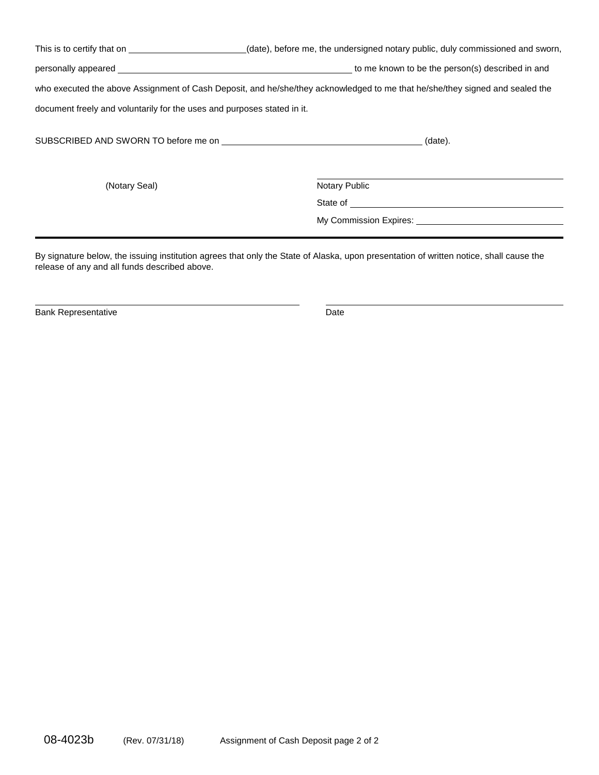| This is to certify that on <u>example and the set of the set of the set of the set of the set of the set of the set of the set of the set of the set of the set of the set of the set of the set of the set of the set of the se</u> | (date), before me, the undersigned notary public, duly commissioned and sworn,                                                                                                                                                 |
|--------------------------------------------------------------------------------------------------------------------------------------------------------------------------------------------------------------------------------------|--------------------------------------------------------------------------------------------------------------------------------------------------------------------------------------------------------------------------------|
|                                                                                                                                                                                                                                      | personally appeared example and the personally appeared example and the personally appeared example and the person of the person (s) described in and                                                                          |
|                                                                                                                                                                                                                                      | who executed the above Assignment of Cash Deposit, and he/she/they acknowledged to me that he/she/they signed and sealed the                                                                                                   |
| document freely and voluntarily for the uses and purposes stated in it.                                                                                                                                                              |                                                                                                                                                                                                                                |
|                                                                                                                                                                                                                                      | $(date)$ .                                                                                                                                                                                                                     |
| (Notary Seal)                                                                                                                                                                                                                        | <b>Notary Public</b>                                                                                                                                                                                                           |
|                                                                                                                                                                                                                                      |                                                                                                                                                                                                                                |
|                                                                                                                                                                                                                                      | My Commission Expires: Note that the commission of the contract of the contract of the contract of the contract of the contract of the contract of the contract of the contract of the contract of the contract of the contrac |
|                                                                                                                                                                                                                                      |                                                                                                                                                                                                                                |

By signature below, the issuing institution agrees that only the State of Alaska, upon presentation of written notice, shall cause the release of any and all funds described above.

Bank Representative **Date** Date **Date**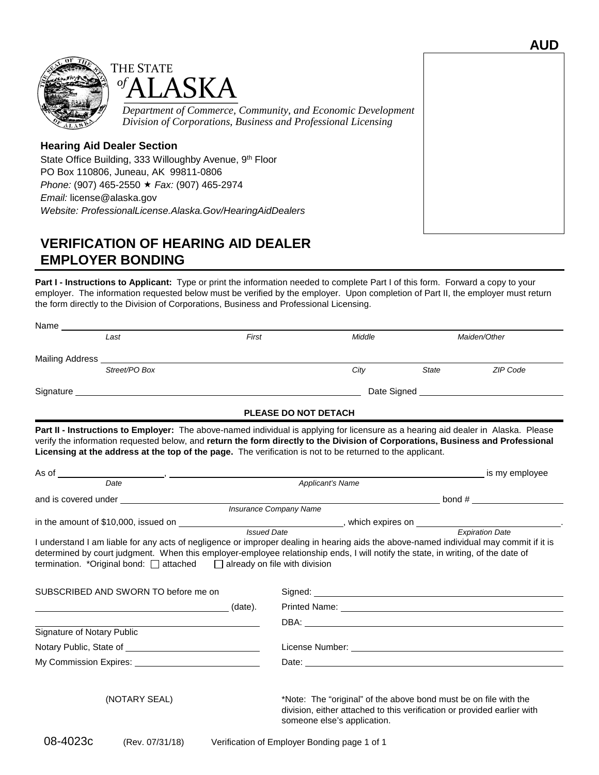



#### **Hearing Aid Dealer Section**

State Office Building, 333 Willoughby Avenue, 9<sup>th</sup> Floor PO Box 110806, Juneau, AK 99811-0806 *Phone:* (907) 465-2550 *Fax:* (907) 465-2974 *Email:* license@alaska.gov *Website: [ProfessionalLicense.Alaska.Gov/HearingAidDealers](http://professionallicense.alaska.gov/HearingAidDealers)*

## **VERIFICATION OF HEARING AID DEALER EMPLOYER BONDING**

**Part I - Instructions to Applicant:** Type or print the information needed to complete Part I of this form. Forward a copy to your employer. The information requested below must be verified by the employer. Upon completion of Part II, the employer must return the form directly to the Division of Corporations, Business and Professional Licensing.

| State<br>Part II - Instructions to Employer: The above-named individual is applying for licensure as a hearing aid dealer in Alaska. Please<br>Licensing at the address at the top of the page. The verification is not to be returned to the applicant. | Maiden/Other<br>ZIP Code                                                                                                                                                                                                                                                   |
|----------------------------------------------------------------------------------------------------------------------------------------------------------------------------------------------------------------------------------------------------------|----------------------------------------------------------------------------------------------------------------------------------------------------------------------------------------------------------------------------------------------------------------------------|
|                                                                                                                                                                                                                                                          |                                                                                                                                                                                                                                                                            |
|                                                                                                                                                                                                                                                          |                                                                                                                                                                                                                                                                            |
|                                                                                                                                                                                                                                                          |                                                                                                                                                                                                                                                                            |
|                                                                                                                                                                                                                                                          |                                                                                                                                                                                                                                                                            |
|                                                                                                                                                                                                                                                          |                                                                                                                                                                                                                                                                            |
|                                                                                                                                                                                                                                                          | verify the information requested below, and return the form directly to the Division of Corporations, Business and Professional                                                                                                                                            |
|                                                                                                                                                                                                                                                          | is my employee                                                                                                                                                                                                                                                             |
|                                                                                                                                                                                                                                                          |                                                                                                                                                                                                                                                                            |
|                                                                                                                                                                                                                                                          | $\frac{1}{2}$ bond #                                                                                                                                                                                                                                                       |
|                                                                                                                                                                                                                                                          |                                                                                                                                                                                                                                                                            |
|                                                                                                                                                                                                                                                          |                                                                                                                                                                                                                                                                            |
|                                                                                                                                                                                                                                                          | I understand I am liable for any acts of negligence or improper dealing in hearing aids the above-named individual may commit if it is<br>determined by court judgment. When this employer-employee relationship ends, I will notify the state, in writing, of the date of |
| Signed: <u>contract and contract and contract and contract and contract and contract and contract and contract and contract and contract and contract and contract and contract and contract and contract and contract and contr</u>                     |                                                                                                                                                                                                                                                                            |
|                                                                                                                                                                                                                                                          |                                                                                                                                                                                                                                                                            |
|                                                                                                                                                                                                                                                          |                                                                                                                                                                                                                                                                            |
|                                                                                                                                                                                                                                                          |                                                                                                                                                                                                                                                                            |
|                                                                                                                                                                                                                                                          |                                                                                                                                                                                                                                                                            |
| Date: the contract of the contract of the contract of the contract of the contract of the contract of the contract of the contract of the contract of the contract of the contract of the contract of the contract of the cont                           |                                                                                                                                                                                                                                                                            |
|                                                                                                                                                                                                                                                          | *Note: The "original" of the above bond must be on file with the<br>division, either attached to this verification or provided earlier with                                                                                                                                |
|                                                                                                                                                                                                                                                          |                                                                                                                                                                                                                                                                            |

**AUD**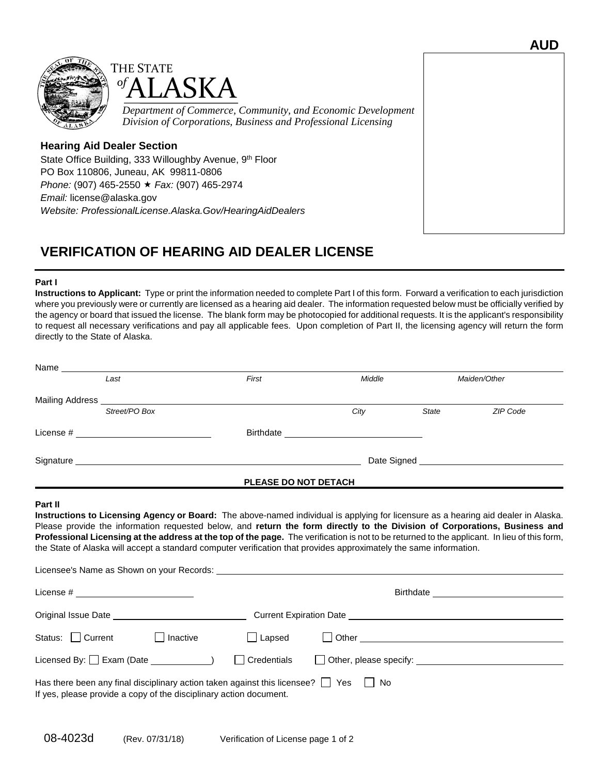



#### **Hearing Aid Dealer Section**

State Office Building, 333 Willoughby Avenue, 9<sup>th</sup> Floor PO Box 110806, Juneau, AK 99811-0806 *Phone:* (907) 465-2550 *Fax:* (907) 465-2974 *Email:* license@alaska.gov *Website: [ProfessionalLicense.Alaska.Gov/HearingAidDealers](http://professionallicense.alaska.gov/HearingAidDealers)*

## **VERIFICATION OF HEARING AID DEALER LICENSE**

#### **Part I**

**Instructions to Applicant:** Type or print the information needed to complete Part I of this form. Forward a verification to each jurisdiction where you previously were or currently are licensed as a hearing aid dealer. The information requested below must be officially verified by the agency or board that issued the license. The blank form may be photocopied for additional requests. It is the applicant's responsibility to request all necessary verifications and pay all applicable fees. Upon completion of Part II, the licensing agency will return the form directly to the State of Alaska.

| Name __                |                                         |                                                                    |                                                                                             |                                                                                                                                                                                                                                                                                                                                                                                                                                                                                                                                        |              |                                                                                                                                                                                                                                    |
|------------------------|-----------------------------------------|--------------------------------------------------------------------|---------------------------------------------------------------------------------------------|----------------------------------------------------------------------------------------------------------------------------------------------------------------------------------------------------------------------------------------------------------------------------------------------------------------------------------------------------------------------------------------------------------------------------------------------------------------------------------------------------------------------------------------|--------------|------------------------------------------------------------------------------------------------------------------------------------------------------------------------------------------------------------------------------------|
|                        | Last                                    |                                                                    | First                                                                                       | Middle                                                                                                                                                                                                                                                                                                                                                                                                                                                                                                                                 |              | Maiden/Other                                                                                                                                                                                                                       |
|                        |                                         |                                                                    |                                                                                             |                                                                                                                                                                                                                                                                                                                                                                                                                                                                                                                                        |              |                                                                                                                                                                                                                                    |
|                        | Street/PO Box                           |                                                                    |                                                                                             | City                                                                                                                                                                                                                                                                                                                                                                                                                                                                                                                                   | <b>State</b> | ZIP Code                                                                                                                                                                                                                           |
|                        |                                         |                                                                    |                                                                                             |                                                                                                                                                                                                                                                                                                                                                                                                                                                                                                                                        |              |                                                                                                                                                                                                                                    |
|                        |                                         |                                                                    |                                                                                             |                                                                                                                                                                                                                                                                                                                                                                                                                                                                                                                                        |              |                                                                                                                                                                                                                                    |
|                        |                                         |                                                                    | PLEASE DO NOT DETACH                                                                        |                                                                                                                                                                                                                                                                                                                                                                                                                                                                                                                                        |              | <u> 1989 - Johann John Stone, mars et al. 1989 - Anna ann an t-Anna ann an t-Anna ann an t-Anna ann an t-Anna ann </u>                                                                                                             |
|                        |                                         |                                                                    |                                                                                             | Instructions to Licensing Agency or Board: The above-named individual is applying for licensure as a hearing aid dealer in Alaska.<br>Please provide the information requested below, and return the form directly to the Division of Corporations, Business and<br>Professional Licensing at the address at the top of the page. The verification is not to be returned to the applicant. In lieu of this form,<br>the State of Alaska will accept a standard computer verification that provides approximately the same information. |              |                                                                                                                                                                                                                                    |
|                        | License # _____________________________ |                                                                    |                                                                                             |                                                                                                                                                                                                                                                                                                                                                                                                                                                                                                                                        |              |                                                                                                                                                                                                                                    |
|                        |                                         |                                                                    |                                                                                             |                                                                                                                                                                                                                                                                                                                                                                                                                                                                                                                                        |              |                                                                                                                                                                                                                                    |
| Status: $\Box$ Current |                                         | Inactive<br>$\perp$                                                | $\Box$ Lapsed                                                                               |                                                                                                                                                                                                                                                                                                                                                                                                                                                                                                                                        |              | D Other <u>Contact Communication</u> Change of the Contact Contact Contact Contact Contact Contact Contact Contact Contact Contact Contact Contact Contact Contact Contact Contact Contact Contact Contact Contact Contact Contact |
|                        |                                         | Licensed By: $\Box$ Exam (Date $\_\_\_\_\_\_\_\_\_\_$              | Credentials                                                                                 |                                                                                                                                                                                                                                                                                                                                                                                                                                                                                                                                        |              |                                                                                                                                                                                                                                    |
|                        |                                         | If yes, please provide a copy of the disciplinary action document. | Has there been any final disciplinary action taken against this licensee? $\Box$ Yes $\Box$ | No.                                                                                                                                                                                                                                                                                                                                                                                                                                                                                                                                    |              |                                                                                                                                                                                                                                    |

08-4023d (Rev. 07/31/18) Verification of License page 1 of 2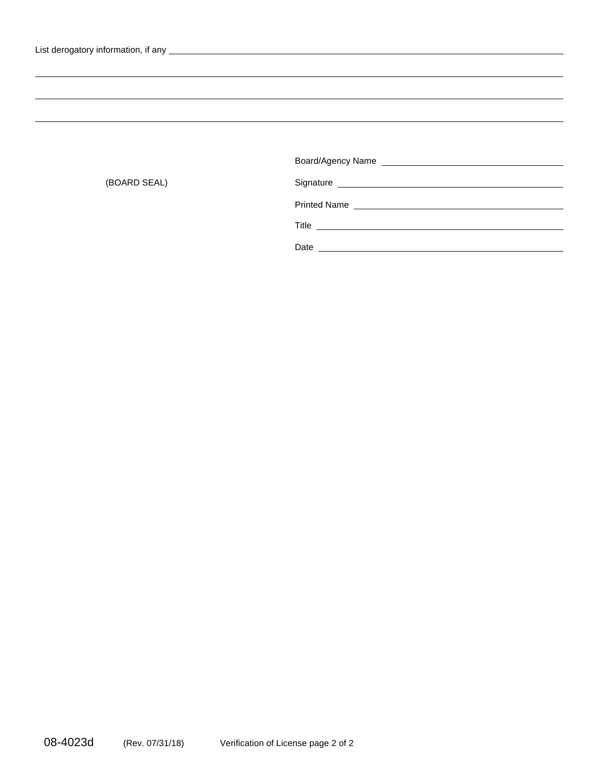| Date |
|------|

(BOARD SEAL)